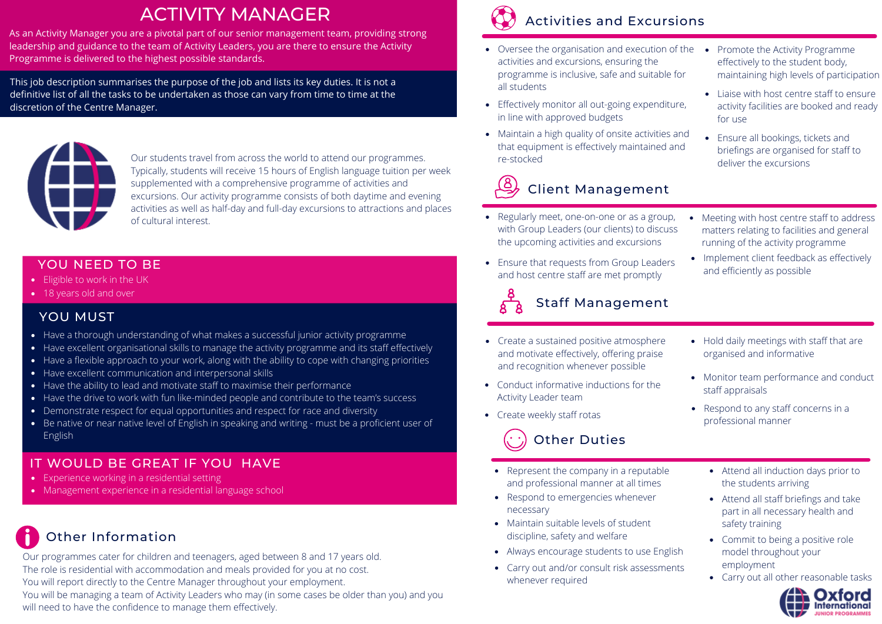## ACTIVITY MANAGER

As an Activity Manager you are a pivotal part of our senior management team, providing strong leadership and guidance to the team of Activity Leaders, you are there to ensure the Activity Programme is delivered to the highest possible standards.

This job description summarises the purpose of the job and lists its key duties. It is not a definitive list of all the tasks to be undertaken as those can vary from time to time at the discretion of the Centre Manager.



Our students travel from across the world to attend our programmes. Typically, students will receive 15 hours of English language tuition per week supplemented with a comprehensive programme of activities and excursions. Our activity programme consists of both daytime and evening activities as well as half-day and full-day excursions to attractions and places of cultural interest.

#### YOU NEED TO BE

- Eligible to work in the UK
- 18 years old and over

#### YOU MUST

- Have a thorough understanding of what makes a successful junior activity programme
- Have excellent organisational skills to manage the activity programme and its staff effectively
- Have a flexible approach to your work, along with the ability to cope with changing priorities
- Have excellent communication and interpersonal skills
- Have the ability to lead and motivate staff to maximise their performance
- Have the drive to work with fun like-minded people and contribute to the team's success
- Demonstrate respect for equal opportunities and respect for race and diversity
- Be native or near native level of English in speaking and writing must be a proficient user of English

### IT WOULD BE GREAT IF YOU HAVE

- Experience working in a residential setting
- Management experience in a residential language school

# Other Information

Our programmes cater for children and teenagers, aged between 8 and 17 years old. The role is residential with accommodation and meals provided for you at no cost. You will report directly to the Centre Manager throughout your employment. You will be managing a team of Activity Leaders who may (in some cases be older than you) and you will need to have the confidence to manage them effectively.



## Activities and Excursions

- Oversee the organisation and execution of the activities and excursions, ensuring the programme is inclusive, safe and suitable for all students
- Effectively monitor all out-going expenditure, in line with approved budgets
- Maintain a high quality of onsite activities and that equipment is effectively maintained and re-stocked

# Client Management

- Regularly meet, one-on-one or as a group, with Group Leaders (our clients) to discuss the upcoming activities and excursions
- Ensure that requests from Group Leaders and host centre staff are met promptly



- Create a sustained positive atmosphere and motivate effectively, offering praise and recognition whenever possible
- Conduct informative inductions for the Activity Leader team
- 

## Other Duties

- Represent the company in a reputable and professional manner at all times
- Respond to emergencies whenever necessary
- Maintain suitable levels of student discipline, safety and welfare
- Always encourage students to use English
- Carry out and/or consult risk assessments whenever required
- Promote the Activity Programme effectively to the student body, maintaining high levels of participation
- Liaise with host centre staff to ensure activity facilities are booked and ready for use
- Ensure all bookings, tickets and briefings are organised for staff to deliver the excursions
- Meeting with host centre staff to address matters relating to facilities and general running of the activity programme
- Implement client feedback as effectively and efficiently as possible
- Hold daily meetings with staff that are organised and informative
- Monitor team performance and conduct staff appraisals
- Respond to any staff concerns in a • Create weekly staff rotas **but a create weekly staff rotas professional manner** 
	- Attend all induction days prior to the students arriving
	- Attend all staff briefings and take part in all necessary health and safety training
	- Commit to being a positive role model throughout your employment
	- Carry out all other reasonable tasks